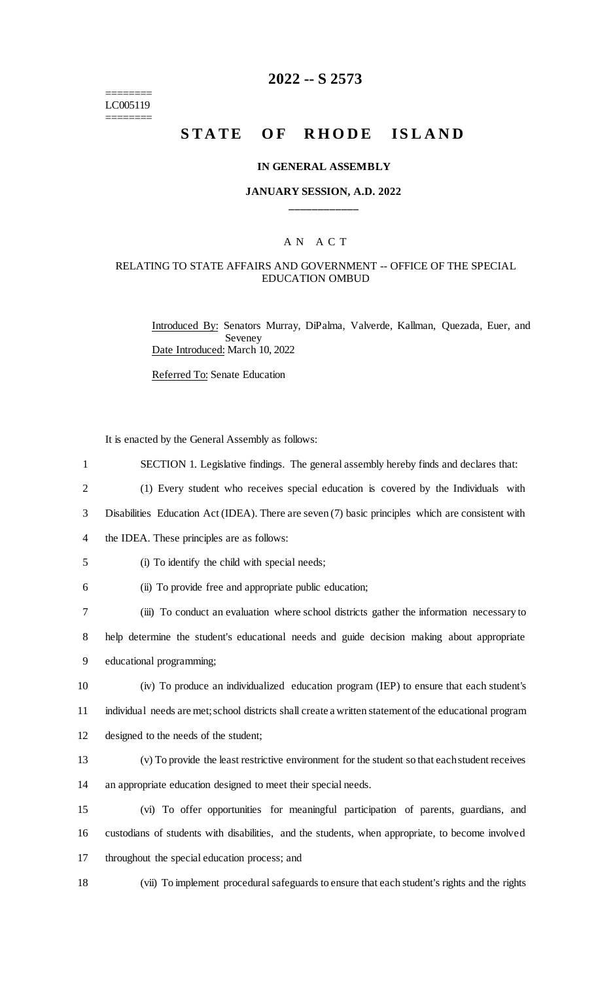======== LC005119 ========

# **2022 -- S 2573**

# STATE OF RHODE ISLAND

#### **IN GENERAL ASSEMBLY**

#### **JANUARY SESSION, A.D. 2022 \_\_\_\_\_\_\_\_\_\_\_\_**

#### A N A C T

#### RELATING TO STATE AFFAIRS AND GOVERNMENT -- OFFICE OF THE SPECIAL EDUCATION OMBUD

Introduced By: Senators Murray, DiPalma, Valverde, Kallman, Quezada, Euer, and Seveney Date Introduced: March 10, 2022

Referred To: Senate Education

It is enacted by the General Assembly as follows:

| $\mathbf{1}$   | SECTION 1. Legislative findings. The general assembly hereby finds and declares that:                  |
|----------------|--------------------------------------------------------------------------------------------------------|
| $\overline{2}$ | (1) Every student who receives special education is covered by the Individuals with                    |
| 3              | Disabilities Education Act (IDEA). There are seven (7) basic principles which are consistent with      |
| 4              | the IDEA. These principles are as follows:                                                             |
| 5              | (i) To identify the child with special needs;                                                          |
| 6              | (ii) To provide free and appropriate public education;                                                 |
| 7              | (iii) To conduct an evaluation where school districts gather the information necessary to              |
| 8              | help determine the student's educational needs and guide decision making about appropriate             |
| 9              | educational programming;                                                                               |
| 10             | (iv) To produce an individualized education program (IEP) to ensure that each student's                |
| 11             | individual needs are met; school districts shall create a written statement of the educational program |
| 12             | designed to the needs of the student;                                                                  |
| 13             | (v) To provide the least restrictive environment for the student so that each student receives         |
| 14             | an appropriate education designed to meet their special needs.                                         |
| 15             | (vi) To offer opportunities for meaningful participation of parents, guardians, and                    |
| 16             | custodians of students with disabilities, and the students, when appropriate, to become involved       |
| 17             | throughout the special education process; and                                                          |
| 18             | (vii) To implement procedural safeguards to ensure that each student's rights and the rights           |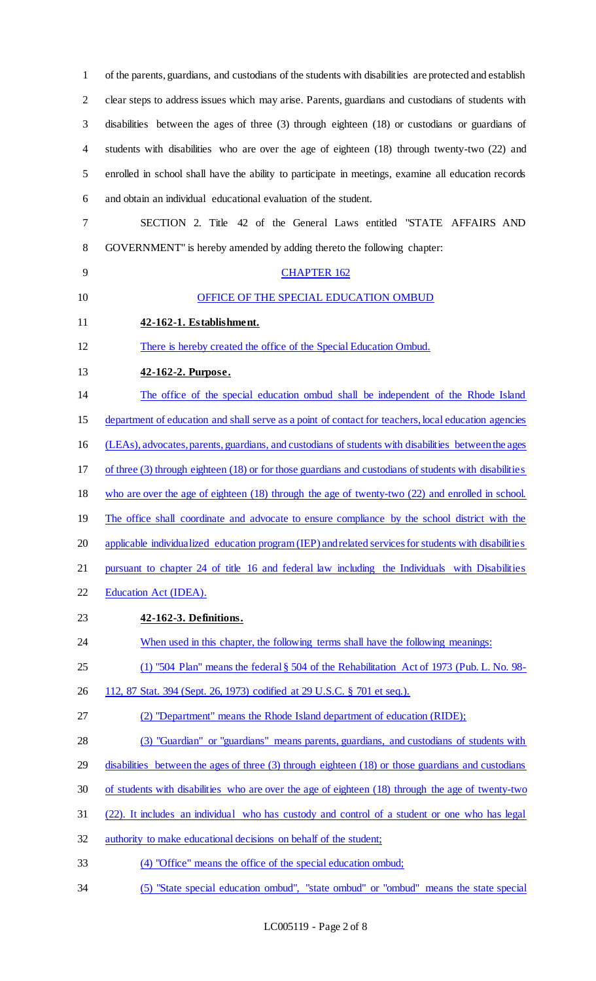of the parents, guardians, and custodians of the students with disabilities are protected and establish clear steps to address issues which may arise. Parents, guardians and custodians of students with disabilities between the ages of three (3) through eighteen (18) or custodians or guardians of students with disabilities who are over the age of eighteen (18) through twenty-two (22) and enrolled in school shall have the ability to participate in meetings, examine all education records and obtain an individual educational evaluation of the student. SECTION 2. Title 42 of the General Laws entitled "STATE AFFAIRS AND GOVERNMENT" is hereby amended by adding thereto the following chapter: CHAPTER 162 10 OFFICE OF THE SPECIAL EDUCATION OMBUD **42-162-1. Establishment.**  There is hereby created the office of the Special Education Ombud. **42-162-2. Purpose.**  The office of the special education ombud shall be independent of the Rhode Island department of education and shall serve as a point of contact for teachers, local education agencies (LEAs), advocates, parents, guardians, and custodians of students with disabilities between the ages of three (3) through eighteen (18) or for those guardians and custodians of students with disabilities who are over the age of eighteen (18) through the age of twenty-two (22) and enrolled in school. 19 The office shall coordinate and advocate to ensure compliance by the school district with the applicable individualized education program (IEP) and related services for students with disabilities pursuant to chapter 24 of title 16 and federal law including the Individuals with Disabilities Education Act (IDEA). **42-162-3. Definitions.**  24 When used in this chapter, the following terms shall have the following meanings: (1) "504 Plan" means the federal § 504 of the Rehabilitation Act of 1973 (Pub. L. No. 98- 26 112, 87 Stat. 394 (Sept. 26, 1973) codified at 29 U.S.C. § 701 et seq.). (2) "Department" means the Rhode Island department of education (RIDE); (3) "Guardian" or "guardians" means parents, guardians, and custodians of students with 29 disabilities between the ages of three (3) through eighteen (18) or those guardians and custodians of students with disabilities who are over the age of eighteen (18) through the age of twenty-two (22). It includes an individual who has custody and control of a student or one who has legal authority to make educational decisions on behalf of the student; (4) "Office" means the office of the special education ombud; (5) "State special education ombud", "state ombud" or "ombud" means the state special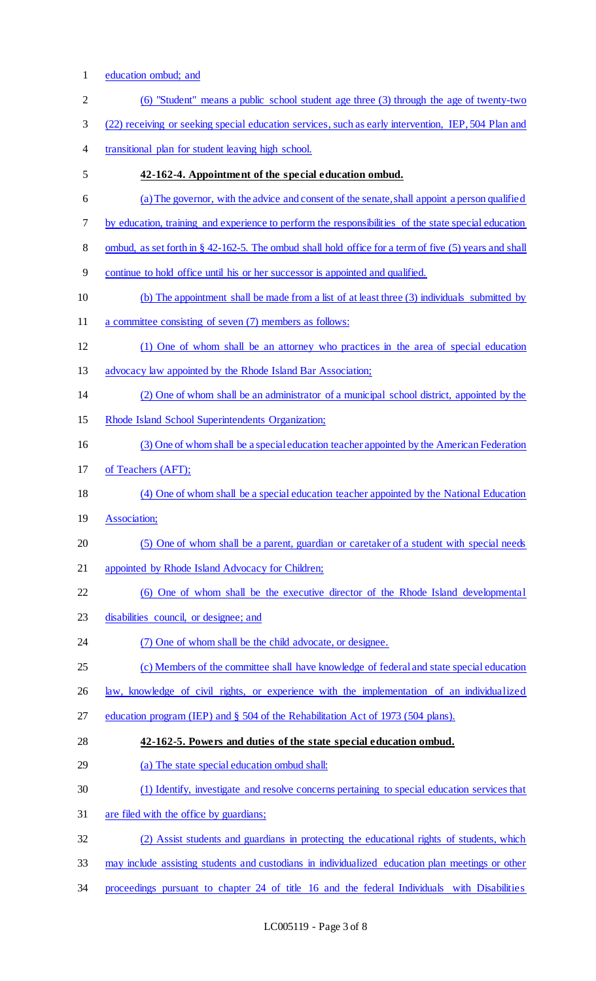1 education ombud; and

| $\mathbf{2}$   | (6) "Student" means a public school student age three (3) through the age of twenty-two                  |
|----------------|----------------------------------------------------------------------------------------------------------|
| $\mathfrak{Z}$ | (22) receiving or seeking special education services, such as early intervention, IEP, 504 Plan and      |
| $\overline{4}$ | transitional plan for student leaving high school.                                                       |
| 5              | 42-162-4. Appointment of the special education ombud.                                                    |
| 6              | (a) The governor, with the advice and consent of the senate, shall appoint a person qualified            |
| $\tau$         | by education, training and experience to perform the responsibilities of the state special education     |
| $8\,$          | ombud, as set forth in $\S$ 42-162-5. The ombud shall hold office for a term of five (5) years and shall |
| 9              | continue to hold office until his or her successor is appointed and qualified.                           |
| 10             | (b) The appointment shall be made from a list of at least three (3) individuals submitted by             |
| 11             | a committee consisting of seven (7) members as follows:                                                  |
| 12             | (1) One of whom shall be an attorney who practices in the area of special education                      |
| 13             | advocacy law appointed by the Rhode Island Bar Association;                                              |
| 14             | (2) One of whom shall be an administrator of a municipal school district, appointed by the               |
| 15             | Rhode Island School Superintendents Organization;                                                        |
| 16             | (3) One of whom shall be a special education teacher appointed by the American Federation                |
| 17             | of Teachers (AFT);                                                                                       |
| 18             | (4) One of whom shall be a special education teacher appointed by the National Education                 |
| 19             | Association;                                                                                             |
| 20             | (5) One of whom shall be a parent, guardian or caretaker of a student with special needs                 |
| 21             | appointed by Rhode Island Advocacy for Children;                                                         |
| 22             | (6) One of whom shall be the executive director of the Rhode Island developmental                        |
| 23             | disabilities council, or designee; and                                                                   |
| 24             | (7) One of whom shall be the child advocate, or designee.                                                |
| 25             | (c) Members of the committee shall have knowledge of federal and state special education                 |
| 26             | law, knowledge of civil rights, or experience with the implementation of an individualized               |
| 27             | education program (IEP) and § 504 of the Rehabilitation Act of 1973 (504 plans).                         |
| 28             | 42-162-5. Powers and duties of the state special education ombud.                                        |
| 29             | (a) The state special education ombud shall:                                                             |
| 30             | (1) Identify, investigate and resolve concerns pertaining to special education services that             |
| 31             | are filed with the office by guardians;                                                                  |
| 32             | (2) Assist students and guardians in protecting the educational rights of students, which                |
| 33             | may include assisting students and custodians in individualized education plan meetings or other         |
| 34             | proceedings pursuant to chapter 24 of title 16 and the federal Individuals with Disabilities             |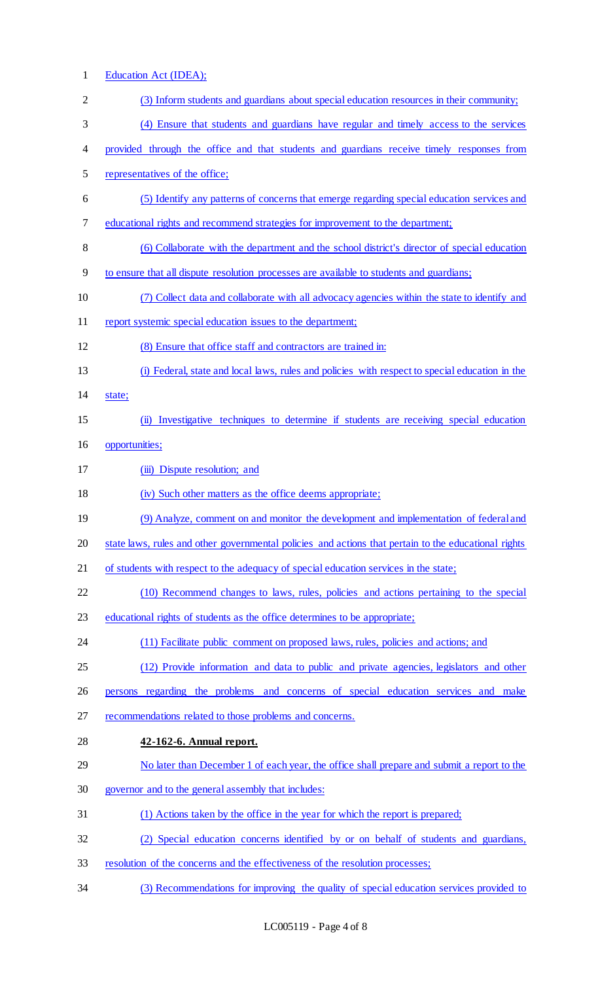| $\mathbf{1}$   | Education Act (IDEA);                                                                                |
|----------------|------------------------------------------------------------------------------------------------------|
| $\overline{2}$ | (3) Inform students and guardians about special education resources in their community;              |
| 3              | (4) Ensure that students and guardians have regular and timely access to the services                |
| 4              | provided through the office and that students and guardians receive timely responses from            |
| 5              | representatives of the office;                                                                       |
| 6              | (5) Identify any patterns of concerns that emerge regarding special education services and           |
| 7              | educational rights and recommend strategies for improvement to the department;                       |
| 8              | (6) Collaborate with the department and the school district's director of special education          |
| 9              | to ensure that all dispute resolution processes are available to students and guardians;             |
| 10             | (7) Collect data and collaborate with all advocacy agencies within the state to identify and         |
| 11             | report systemic special education issues to the department;                                          |
| 12             | (8) Ensure that office staff and contractors are trained in:                                         |
| 13             | (i) Federal, state and local laws, rules and policies with respect to special education in the       |
| 14             | state;                                                                                               |
| 15             | (ii) Investigative techniques to determine if students are receiving special education               |
| 16             | opportunities;                                                                                       |
| 17             | (iii) Dispute resolution; and                                                                        |
| 18             | (iv) Such other matters as the office deems appropriate;                                             |
| 19             | (9) Analyze, comment on and monitor the development and implementation of federal and                |
| 20             | state laws, rules and other governmental policies and actions that pertain to the educational rights |
| 21             | of students with respect to the adequacy of special education services in the state;                 |
| 22             | (10) Recommend changes to laws, rules, policies and actions pertaining to the special                |
| 23             | educational rights of students as the office determines to be appropriate;                           |
| 24             | (11) Facilitate public comment on proposed laws, rules, policies and actions; and                    |
| 25             | (12) Provide information and data to public and private agencies, legislators and other              |
| 26             | persons regarding the problems and concerns of special education services and make                   |
| 27             | recommendations related to those problems and concerns.                                              |
| 28             | 42-162-6. Annual report.                                                                             |
| 29             | No later than December 1 of each year, the office shall prepare and submit a report to the           |
| 30             | governor and to the general assembly that includes:                                                  |
| 31             | (1) Actions taken by the office in the year for which the report is prepared;                        |
| 32             | (2) Special education concerns identified by or on behalf of students and guardians,                 |
| 33             | resolution of the concerns and the effectiveness of the resolution processes;                        |
| 34             | (3) Recommendations for improving the quality of special education services provided to              |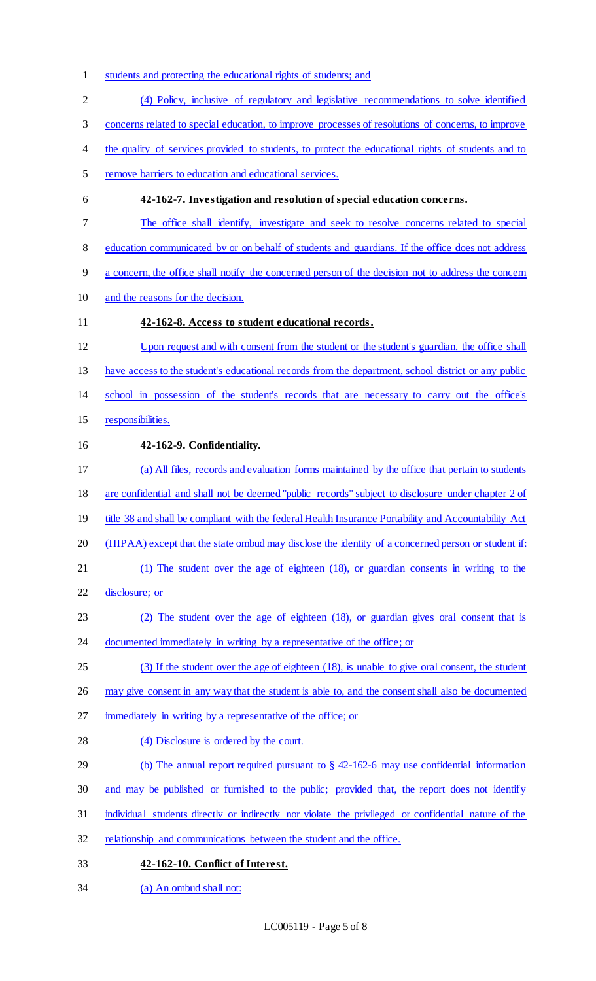- students and protecting the educational rights of students; and
- (4) Policy, inclusive of regulatory and legislative recommendations to solve identified
- concerns related to special education, to improve processes of resolutions of concerns, to improve
- 4 the quality of services provided to students, to protect the educational rights of students and to
- remove barriers to education and educational services.

### **42-162-7. Investigation and resolution of special education concerns.**

- The office shall identify, investigate and seek to resolve concerns related to special
- 8 education communicated by or on behalf of students and guardians. If the office does not address
- a concern, the office shall notify the concerned person of the decision not to address the concern
- and the reasons for the decision.

### **42-162-8. Access to student educational records.**

 Upon request and with consent from the student or the student's guardian, the office shall have access to the student's educational records from the department, school district or any public school in possession of the student's records that are necessary to carry out the office's

15 responsibilities.

## **42-162-9. Confidentiality.**

- (a) All files, records and evaluation forms maintained by the office that pertain to students
- are confidential and shall not be deemed "public records" subject to disclosure under chapter 2 of
- 19 title 38 and shall be compliant with the federal Health Insurance Portability and Accountability Act
- (HIPAA) except that the state ombud may disclose the identity of a concerned person or student if:
- (1) The student over the age of eighteen (18), or guardian consents in writing to the
- disclosure; or
- (2) The student over the age of eighteen (18), or guardian gives oral consent that is
- 24 documented immediately in writing by a representative of the office; or
- (3) If the student over the age of eighteen (18), is unable to give oral consent, the student
- 26 may give consent in any way that the student is able to, and the consent shall also be documented
- 27 immediately in writing by a representative of the office; or
- 28 (4) Disclosure is ordered by the court.
- 29 (b) The annual report required pursuant to § 42-162-6 may use confidential information
- and may be published or furnished to the public; provided that, the report does not identify
- individual students directly or indirectly nor violate the privileged or confidential nature of the
- 32 relationship and communications between the student and the office.
- **42-162-10. Conflict of Interest.**
- (a) An ombud shall not: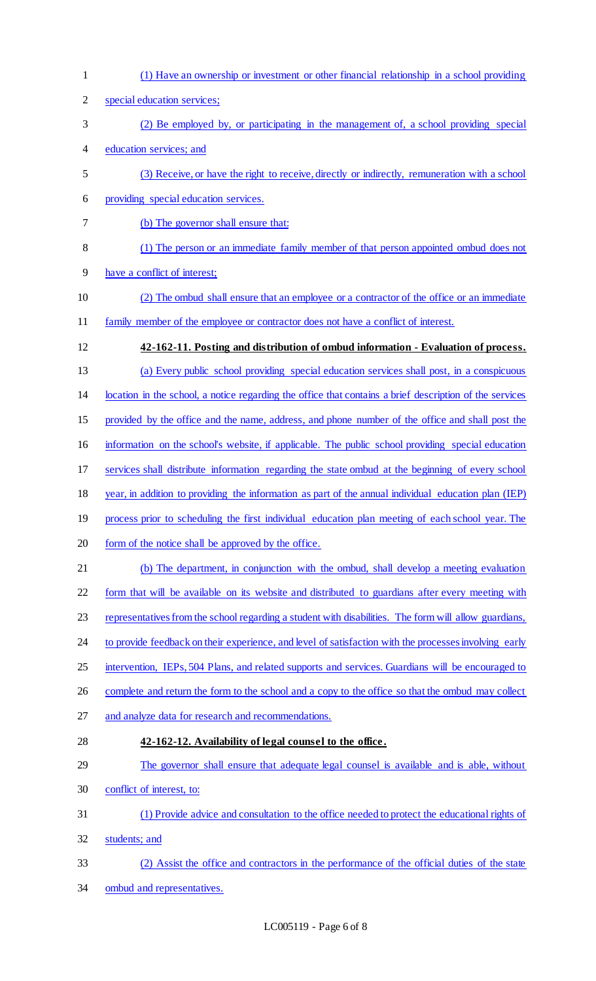| special education services;<br>(2) Be employed by, or participating in the management of, a school providing special<br>education services; and<br>(3) Receive, or have the right to receive, directly or indirectly, remuneration with a school<br>providing special education services.<br>(b) The governor shall ensure that:<br>(1) The person or an immediate family member of that person appointed ombud does not<br>have a conflict of interest;<br>(2) The ombud shall ensure that an employee or a contractor of the office or an immediate<br>family member of the employee or contractor does not have a conflict of interest. |
|--------------------------------------------------------------------------------------------------------------------------------------------------------------------------------------------------------------------------------------------------------------------------------------------------------------------------------------------------------------------------------------------------------------------------------------------------------------------------------------------------------------------------------------------------------------------------------------------------------------------------------------------|
|                                                                                                                                                                                                                                                                                                                                                                                                                                                                                                                                                                                                                                            |
|                                                                                                                                                                                                                                                                                                                                                                                                                                                                                                                                                                                                                                            |
|                                                                                                                                                                                                                                                                                                                                                                                                                                                                                                                                                                                                                                            |
|                                                                                                                                                                                                                                                                                                                                                                                                                                                                                                                                                                                                                                            |
|                                                                                                                                                                                                                                                                                                                                                                                                                                                                                                                                                                                                                                            |
|                                                                                                                                                                                                                                                                                                                                                                                                                                                                                                                                                                                                                                            |
|                                                                                                                                                                                                                                                                                                                                                                                                                                                                                                                                                                                                                                            |
|                                                                                                                                                                                                                                                                                                                                                                                                                                                                                                                                                                                                                                            |
|                                                                                                                                                                                                                                                                                                                                                                                                                                                                                                                                                                                                                                            |
|                                                                                                                                                                                                                                                                                                                                                                                                                                                                                                                                                                                                                                            |
| 42-162-11. Posting and distribution of ombud information - Evaluation of process.                                                                                                                                                                                                                                                                                                                                                                                                                                                                                                                                                          |
| (a) Every public school providing special education services shall post, in a conspicuous                                                                                                                                                                                                                                                                                                                                                                                                                                                                                                                                                  |
| location in the school, a notice regarding the office that contains a brief description of the services                                                                                                                                                                                                                                                                                                                                                                                                                                                                                                                                    |
| provided by the office and the name, address, and phone number of the office and shall post the                                                                                                                                                                                                                                                                                                                                                                                                                                                                                                                                            |
| information on the school's website, if applicable. The public school providing special education                                                                                                                                                                                                                                                                                                                                                                                                                                                                                                                                          |
| services shall distribute information regarding the state ombud at the beginning of every school                                                                                                                                                                                                                                                                                                                                                                                                                                                                                                                                           |
| year, in addition to providing the information as part of the annual individual education plan (IEP)                                                                                                                                                                                                                                                                                                                                                                                                                                                                                                                                       |
| process prior to scheduling the first individual education plan meeting of each school year. The                                                                                                                                                                                                                                                                                                                                                                                                                                                                                                                                           |
| form of the notice shall be approved by the office.                                                                                                                                                                                                                                                                                                                                                                                                                                                                                                                                                                                        |
| (b) The department, in conjunction with the ombud, shall develop a meeting evaluation                                                                                                                                                                                                                                                                                                                                                                                                                                                                                                                                                      |
| form that will be available on its website and distributed to guardians after every meeting with                                                                                                                                                                                                                                                                                                                                                                                                                                                                                                                                           |
| representatives from the school regarding a student with disabilities. The form will allow guardians,                                                                                                                                                                                                                                                                                                                                                                                                                                                                                                                                      |
| to provide feedback on their experience, and level of satisfaction with the processes involving early                                                                                                                                                                                                                                                                                                                                                                                                                                                                                                                                      |
| intervention, IEPs, 504 Plans, and related supports and services. Guardians will be encouraged to                                                                                                                                                                                                                                                                                                                                                                                                                                                                                                                                          |
| complete and return the form to the school and a copy to the office so that the ombud may collect                                                                                                                                                                                                                                                                                                                                                                                                                                                                                                                                          |
| and analyze data for research and recommendations.                                                                                                                                                                                                                                                                                                                                                                                                                                                                                                                                                                                         |
| 42-162-12. Availability of legal counsel to the office.                                                                                                                                                                                                                                                                                                                                                                                                                                                                                                                                                                                    |
| The governor shall ensure that adequate legal counsel is available and is able, without                                                                                                                                                                                                                                                                                                                                                                                                                                                                                                                                                    |
|                                                                                                                                                                                                                                                                                                                                                                                                                                                                                                                                                                                                                                            |
| conflict of interest, to:                                                                                                                                                                                                                                                                                                                                                                                                                                                                                                                                                                                                                  |
| (1) Provide advice and consultation to the office needed to protect the educational rights of                                                                                                                                                                                                                                                                                                                                                                                                                                                                                                                                              |
| students; and                                                                                                                                                                                                                                                                                                                                                                                                                                                                                                                                                                                                                              |
| (2) Assist the office and contractors in the performance of the official duties of the state                                                                                                                                                                                                                                                                                                                                                                                                                                                                                                                                               |
|                                                                                                                                                                                                                                                                                                                                                                                                                                                                                                                                                                                                                                            |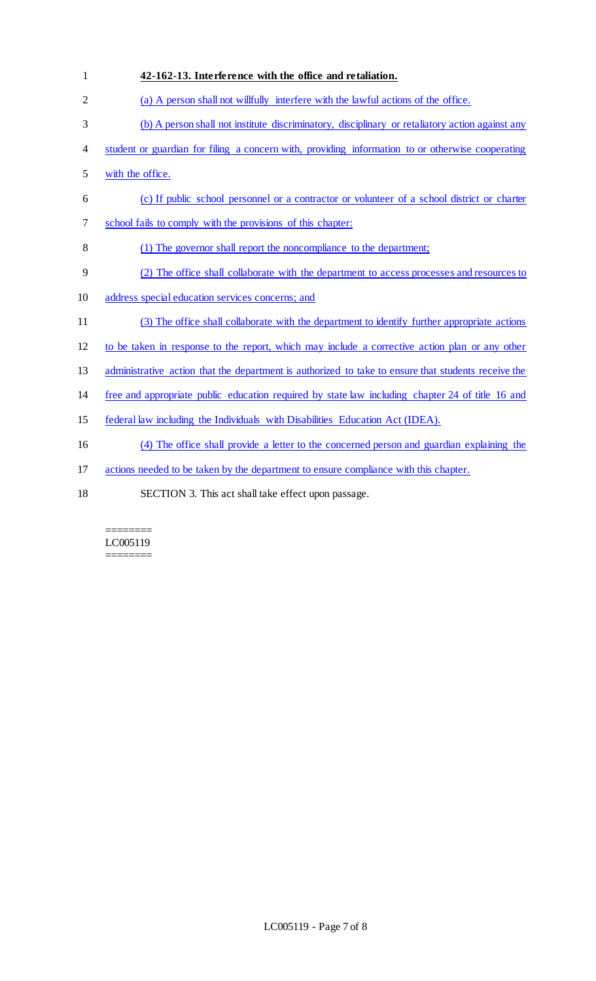| $\mathbf{1}$   | 42-162-13. Interference with the office and retaliation.                                            |
|----------------|-----------------------------------------------------------------------------------------------------|
| $\overline{2}$ | (a) A person shall not willfully interfere with the lawful actions of the office.                   |
| 3              | (b) A person shall not institute discriminatory, disciplinary or retaliatory action against any     |
| 4              | student or guardian for filing a concern with, providing information to or otherwise cooperating    |
| 5              | with the office.                                                                                    |
| 6              | (c) If public school personnel or a contractor or volunteer of a school district or charter         |
| 7              | school fails to comply with the provisions of this chapter:                                         |
| 8              | (1) The governor shall report the noncompliance to the department;                                  |
| 9              | (2) The office shall collaborate with the department to access processes and resources to           |
| 10             | address special education services concerns; and                                                    |
| 11             | (3) The office shall collaborate with the department to identify further appropriate actions        |
| 12             | to be taken in response to the report, which may include a corrective action plan or any other      |
| 13             | administrative action that the department is authorized to take to ensure that students receive the |
| 14             | free and appropriate public education required by state law including chapter 24 of title 16 and    |
| 15             | federal law including the Individuals with Disabilities Education Act (IDEA).                       |
| 16             | (4) The office shall provide a letter to the concerned person and guardian explaining the           |
| 17             | actions needed to be taken by the department to ensure compliance with this chapter.                |
| 18             | SECTION 3. This act shall take effect upon passage.                                                 |

#### $=$ LC005119 ========